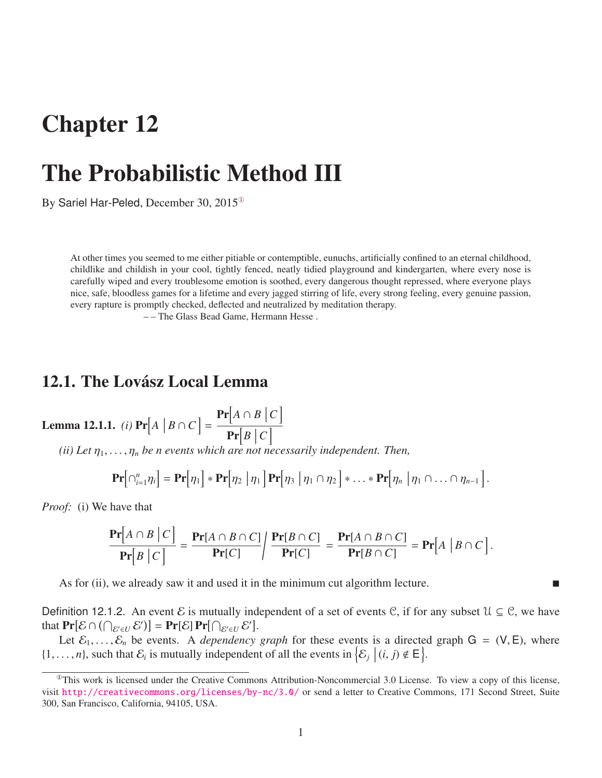## Chapter 12

# The Probabilistic Method III

By Sariel Har-Peled, December 30, 2015<sup>®</sup>

At other times you seemed to me either pitiable or contemptible, eunuchs, artificially confined to an eternal childhood, childlike and childish in your cool, tightly fenced, neatly tidied playground and kindergarten, where every nose is carefully wiped and every troublesome emotion is soothed, every dangerous thought repressed, where everyone plays nice, safe, bloodless games for a lifetime and every jagged stirring of life, every strong feeling, every genuine passion, every rapture is promptly checked, deflected and neutralized by meditation therapy.

– – The Glass Bead Game, Hermann Hesse .

### 12.1. The Lovász Local Lemma

<span id="page-0-1"></span>**Lemma 12.1.1.** (i) 
$$
Pr[A | B \cap C] = \frac{Pr[A \cap B | C]}{Pr[B | C]}
$$

*(ii) Let*  $\eta_1, \ldots, \eta_n$  *be n events which are not necessarily independent. Then,* 

$$
\mathbf{Pr}[\bigcap_{i=1}^{n} \eta_i] = \mathbf{Pr}[\eta_1] * \mathbf{Pr}[\eta_2 | \eta_1] \mathbf{Pr}[\eta_3 | \eta_1 \cap \eta_2] * \ldots * \mathbf{Pr}[\eta_n | \eta_1 \cap \ldots \cap \eta_{n-1}].
$$

*Proof:* (i) We have that

$$
\frac{\Pr[A \cap B \mid C]}{\Pr[B \mid C]} = \frac{\Pr[A \cap B \cap C]}{\Pr[C]} / \frac{\Pr[B \cap C]}{\Pr[C]} = \frac{\Pr[A \cap B \cap C]}{\Pr[B \cap C]} = \Pr[A \mid B \cap C].
$$

As for (ii), we already saw it and used it in the minimum cut algorithm lecture.

Definition 12.1.2. An event E is mutually independent of a set of events C, if for any subset  $\mathcal{U} \subseteq \mathcal{C}$ , we have that  $\Pr[\mathcal{E} \cap (\bigcap_{\mathcal{E}' \in U} \mathcal{E}')] = \Pr[\mathcal{E}] \Pr[\bigcap_{\mathcal{E}' \in U} \mathcal{E}'].$ 

Let  $\mathcal{E}_1, \ldots, \mathcal{E}_n$  be events. A *dependency graph* for these events is a directed graph  $G = (V, E)$ , where  $\{1, \ldots, n\}$ , such that  $\mathcal{E}_i$  is mutually independent of all the events in  $\{\mathcal{E}_j \mid (i, j) \notin E\}$ .

<span id="page-0-0"></span> $<sup>①</sup>$ This work is licensed under the Creative Commons Attribution-Noncommercial 3.0 License. To view a copy of this license,</sup> visit <http://creativecommons.org/licenses/by-nc/3.0/> or send a letter to Creative Commons, 171 Second Street, Suite 300, San Francisco, California, 94105, USA.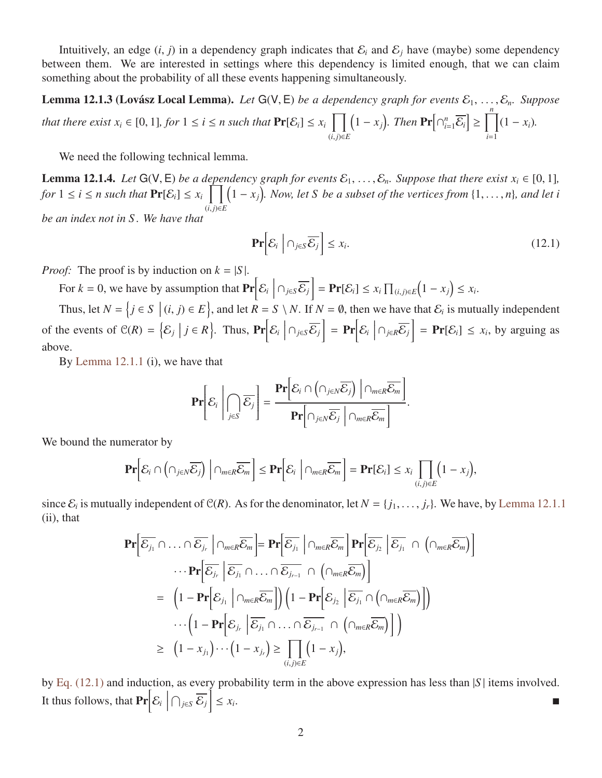Intuitively, an edge  $(i, j)$  in a dependency graph indicates that  $\mathcal{E}_i$  and  $\mathcal{E}_j$  have (maybe) some dependency between them. We are interested in settings where this dependency is limited enough, that we can claim something about the probability of all these events happening simultaneously.

<span id="page-1-1"></span>**Lemma 12.1.3 (Lovász Local Lemma).** Let  $G(V, E)$  be a dependency graph for events  $\mathcal{E}_1, \ldots, \mathcal{E}_n$ . Suppose *that there exist*  $x_i \in [0, 1]$ *, for*  $1 \le i \le n$  *such that*  $\Pr[\mathcal{E}_i] \le x_i \prod_{(i, i) \in I}$ (*i*, *<sup>j</sup>*)∈*<sup>E</sup>*  $\left(1 - x_j\right)$ . Then  $\Pr\left[\bigcap_{i=1}^n \overline{\mathcal{E}_i}\right] \ge \prod_{i=1}^n$ *i*=1  $(1 - x_i)$ .

We need the following technical lemma.

<span id="page-1-2"></span>**Lemma 12.1.4.** *Let*  $G(V, E)$  *be a dependency graph for events*  $\mathcal{E}_1, \ldots, \mathcal{E}_n$ *. Suppose that there exist*  $x_i \in [0, 1]$ *, for*  $1 \le i \le n$  such that  $Pr[\mathcal{E}_i] \le x_i$   $\prod_{(i,j)\in F} (1-x_j)$ . Now, let *S* be a subset of the vertices from {1, ..., *n*}*,* and let i (*i*, *<sup>j</sup>*)∈*<sup>E</sup> be an index not in S . We have that*

<span id="page-1-0"></span>
$$
\Pr\bigg[\mathcal{E}_i \mid \bigcap_{j \in S} \overline{\mathcal{E}_j}\bigg] \le x_i. \tag{12.1}
$$

*Proof:* The proof is by induction on  $k = |S|$ .

For  $k = 0$ , we have by assumption that  $Pr\left[\mathcal{E}_i \mid \mathcal{E}_j\right]$  $\left\{ \cap_{j\in S} \overline{\mathcal{E}_{j}} \right\}$  = **Pr**[ $\mathcal{E}_{i}$ ] ≤  $x_{i}$   $\prod_{(i,j)\in E}$  $(1 - x_j) \leq x_i$ .

Thus, let  $N = \{j \in S \mid (i, j) \in E\}$ , and let  $R = S \setminus N$ . If  $N = \emptyset$ , then we have that  $\mathcal{E}_i$  is mutually independent of the events of  $\mathcal{C}(R) = \{\mathcal{E}_j \mid j \in R\}$ . Thus,  $\Pr\bigg[\mathcal{E}_i \bigg]$  $\bigcap_{j\in S}\overline{\mathcal{E}_j}\bigg] = \Pr\bigg[\mathcal{E}_i\bigg]$  $\left\{ \cap_{j \in R} \overline{\mathcal{E}_j} \right\}$  = **Pr**[ $\mathcal{E}_i$ ]  $\leq x_i$ , by arguing as above.

By [Lemma 12.1.1](#page-0-1) (i), we have that

$$
\mathbf{Pr}\left[\mathcal{E}_i \middle| \bigcap_{j\in S} \overline{\mathcal{E}_j}\right] = \frac{\mathbf{Pr}\left[\mathcal{E}_i \cap \left(\cap_{j\in N} \overline{\mathcal{E}_j}\right) \middle| \cap_{m\in R} \overline{\mathcal{E}_m}\right]}{\mathbf{Pr}\left[\cap_{j\in N} \overline{\mathcal{E}_j} \middle| \cap_{m\in R} \overline{\mathcal{E}_m}\right]}.
$$

We bound the numerator by

$$
\mathbf{Pr}\Big[\mathcal{E}_i\cap\left(\cap_{j\in N}\overline{\mathcal{E}_j}\right)\Big|\cap_{m\in R}\overline{\mathcal{E}_m}\Big]\leq \mathbf{Pr}\Big[\mathcal{E}_i\;\Big|\cap_{m\in R}\overline{\mathcal{E}_m}\Big]=\mathbf{Pr}[\mathcal{E}_i]\leq x_i\prod_{(i,j)\in E}\Big(1-x_j\Big),
$$

since  $\mathcal{E}_i$  is mutually independent of  $\mathcal{C}(R)$ . As for the denominator, let  $N = \{j_1, \ldots, j_r\}$ . We have, by [Lemma 12.1.1](#page-0-1) (ii) that (ii), that

$$
\mathbf{Pr}\left[\overline{\mathcal{E}_{j_1}}\cap\ldots\cap\overline{\mathcal{E}_{j_r}}\middle|\cap_{m\in R}\overline{\mathcal{E}_{m}}\right]=\mathbf{Pr}\left[\overline{\mathcal{E}_{j_1}}\middle|\cap_{m\in R}\overline{\mathcal{E}_{m}}\right]\mathbf{Pr}\left[\overline{\mathcal{E}_{j_2}}\middle|\overline{\mathcal{E}_{j_1}}\cap\left(\cap_{m\in R}\overline{\mathcal{E}_{m}}\right)\right]
$$

$$
\cdots\mathbf{Pr}\left[\overline{\mathcal{E}_{j_r}}\middle|\overline{\mathcal{E}_{j_1}}\cap\ldots\cap\overline{\mathcal{E}_{j_{r-1}}}\cap\left(\cap_{m\in R}\overline{\mathcal{E}_{m}}\right)\right]
$$

$$
=\left(1-\mathbf{Pr}\left[\mathcal{E}_{j_1}\middle|\cap_{m\in R}\overline{\mathcal{E}_{m}}\right]\right)\left(1-\mathbf{Pr}\left[\mathcal{E}_{j_2}\middle|\overline{\mathcal{E}_{j_1}}\cap\left(\cap_{m\in R}\overline{\mathcal{E}_{m}}\right)\right]\right)
$$

$$
\cdots\left(1-\mathbf{Pr}\left[\mathcal{E}_{j_r}\middle|\overline{\mathcal{E}_{j_1}}\cap\ldots\cap\overline{\mathcal{E}_{j_{r-1}}}\cap\left(\cap_{m\in R}\overline{\mathcal{E}_{m}}\right)\right]\right)
$$

$$
\geq\left(1-x_{j_1}\right)\cdots\left(1-x_{j_r}\right)\geq\prod_{(i,j)\in E}\left(1-x_{j}\right),
$$

by [Eq. \(12.1\)](#page-1-0) and induction, as every probability term in the above expression has less than |*S* | items involved. It thus follows, that  $Pr\left[\mathcal{E}_i \mid \mathcal{E}_i\right]$  $\left\{\cap_{j\in S}\overline{\mathcal{E}_{j}}\right\}\leq x_{i}$ .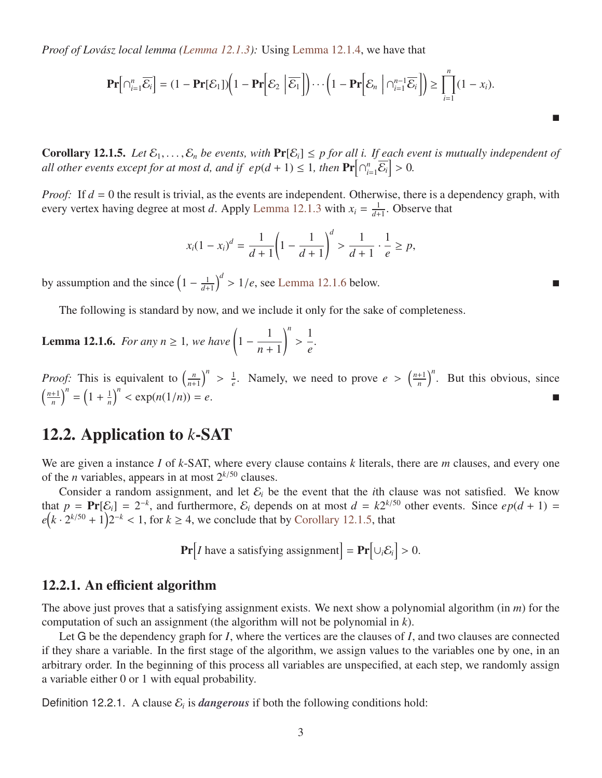*Proof of Lovász local lemma [\(Lemma 12.1.3\)](#page-1-1):* Using [Lemma 12.1.4,](#page-1-2) we have that

$$
\mathbf{Pr}\Big[\cap_{i=1}^n \overline{\mathcal{E}_i}\Big] = (1 - \mathbf{Pr}[\mathcal{E}_1]) \Big(1 - \mathbf{Pr}\Big[\mathcal{E}_2 \Big|\overline{\mathcal{E}_1}\Big]\Big) \cdots \Big(1 - \mathbf{Pr}\Big[\mathcal{E}_n \Big|\bigcap_{i=1}^{n-1} \overline{\mathcal{E}_i}\Big]\Big) \ge \prod_{i=1}^n (1 - x_i).
$$

<span id="page-2-0"></span>П

<span id="page-2-1"></span>**Corollary 12.1.5.** *Let*  $\mathcal{E}_1, \ldots, \mathcal{E}_n$  *be events, with*  $\Pr[\mathcal{E}_i] \leq p$  *for all i. If each event is mutually independent of all other events except for at most d, and if*  $ep(d + 1) \le 1$ *, then*  $\Pr[\bigcap_{i=1}^{n}$  $\left[\sum_{i=1}^n \overline{\mathcal{E}_i}\right] > 0.$ 

*Proof:* If  $d = 0$  the result is trivial, as the events are independent. Otherwise, there is a dependency graph, with every vertex having degree at most *d*. Apply [Lemma 12.1.3](#page-1-1) with  $x_i = \frac{1}{d+1}$  $\frac{1}{d+1}$ . Observe that

$$
x_i(1-x_i)^d = \frac{1}{d+1}\left(1-\frac{1}{d+1}\right)^d > \frac{1}{d+1}\cdot\frac{1}{e} \ge p,
$$

by assumption and the since  $\left(1 - \frac{1}{d+1}\right)$  $\left(\frac{1}{d+1}\right)^d > 1/e$ , see [Lemma 12.1.6](#page-2-0) below.

The following is standard by now, and we include it only for the sake of completeness.

**Lemma 12.1.6.** *For any n*  $\geq$  1*, we have*  $\left(1 - \frac{1}{\cdot}\right)$ *n* + 1 !*n* 1 *e .*

*Proof:* This is equivalent to  $\left(\frac{n}{n+1}\right)$  $\left(\frac{n}{n+1}\right)^n$ 1  $\frac{1}{e}$ . Namely, we need to prove  $e > \left(\frac{n+1}{n}\right)$  $\left(\frac{n+1}{n}\right)^n$ . But this obvious, since  $\frac{n+1}{n+1}$  $\left(\frac{n+1}{n}\right)^n = \left(1 + \frac{1}{n}\right)$  $\frac{1}{n}$ <sup>n</sup>  $\langle \exp(n(1/n)) = e.$ 

## 12.2. Application to *k*-SAT

We are given a instance *I* of *k*-SAT, where every clause contains *k* literals, there are *m* clauses, and every one of the *n* variables, appears in at most  $2^{k/50}$  clauses.

Consider a random assignment, and let  $\mathcal{E}_i$  be the event that the *i*th clause was not satisfied. We know that  $p = \Pr[\mathcal{E}_i] = 2^{-k}$ , and furthermore,  $\mathcal{E}_i$  depends on at most  $d = k2^{k/50}$  other events. Since  $ep(d+1) =$  $e^{\left(k \cdot 2^{k/50} + 1\right)2^{-k}} < 1$ , for  $k \ge 4$ , we conclude that by [Corollary 12.1.5,](#page-2-1) that

**Pr**[*I* have a satisfying assignment] =  $\textbf{Pr}[\cup_i \mathcal{E}_i] > 0$ .

#### 12.2.1. An efficient algorithm

The above just proves that a satisfying assignment exists. We next show a polynomial algorithm (in *m*) for the computation of such an assignment (the algorithm will not be polynomial in *k*).

Let G be the dependency graph for *I*, where the vertices are the clauses of *I*, and two clauses are connected if they share a variable. In the first stage of the algorithm, we assign values to the variables one by one, in an arbitrary order. In the beginning of this process all variables are unspecified, at each step, we randomly assign a variable either 0 or 1 with equal probability.

Definition 12.2.1. A clause  $\mathcal{E}_i$  is *dangerous* if both the following conditions hold: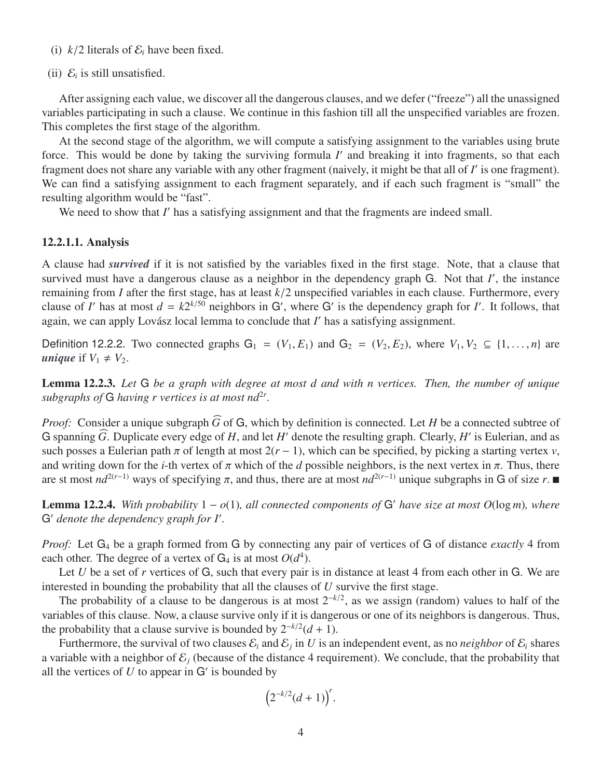- (i)  $k/2$  literals of  $\mathcal{E}_i$  have been fixed.
- (ii)  $\mathcal{E}_i$  is still unsatisfied.

After assigning each value, we discover all the dangerous clauses, and we defer ("freeze") all the unassigned variables participating in such a clause. We continue in this fashion till all the unspecified variables are frozen. This completes the first stage of the algorithm.

At the second stage of the algorithm, we will compute a satisfying assignment to the variables using brute force. This would be done by taking the surviving formula *I'* and breaking it into fragments, so that each fragment does not share any variable with any other fragment (naively, it might be that all of *I'* is one fragment). We can find a satisfying assignment to each fragment separately, and if each such fragment is "small" the resulting algorithm would be "fast".

We need to show that *I'* has a satisfying assignment and that the fragments are indeed small.

#### 12.2.1.1. Analysis

A clause had *survived* if it is not satisfied by the variables fixed in the first stage. Note, that a clause that survived must have a dangerous clause as a neighbor in the dependency graph G. Not that *I'*, the instance remaining from *I* after the first stage, has at least  $k/2$  unspecified variables in each clause. Furthermore, every clause of *I'* has at most  $d = k2^{k/50}$  neighbors in G', where G' is the dependency graph for *I'*. It again, we can apply Lovász local lemma to conclude that *I'* has a satisfying assignment.

Definition 12.2.2. Two connected graphs  $G_1 = (V_1, E_1)$  and  $G_2 = (V_2, E_2)$ , where  $V_1, V_2 \subseteq \{1, \ldots, n\}$  are *unique* if  $V_1 \neq V_2$ .

<span id="page-3-0"></span>Lemma 12.2.3. *Let* G *be a graph with degree at most d and with n vertices. Then, the number of unique* subgraphs of  $G$  having r vertices is at most  $nd^{2r}$ .

*Proof:* Consider a unique subgraph  $\widehat{G}$  of G, which by definition is connected. Let *H* be a connected subtree of G spanning  $\widehat{G}$ . Duplicate every edge of *H*, and let *H'* denote the resulting graph. Clearly, *H'* is Eulerian, and as such posses a Eulerian path  $\pi$  of length at most  $2(r - 1)$ , which can be specified, by picking a starting vertex *v*, and writing down for the *i*-th vertex of  $\pi$  which of the *d* possible neighbors, is the next vertex in  $\pi$ . Thus, there are st most  $nd^{2(r-1)}$  ways of specifying  $\pi$ , and thus, there are at most  $nd^{2(r-1)}$  unique subgraphs in G of size  $r$ .

**Lemma 12.2.4.** With probability  $1 - o(1)$ , all connected components of G' have size at most  $O(\log m)$ , where G' denote the dependency graph for I'.

*Proof:* Let G<sup>4</sup> be a graph formed from G by connecting any pair of vertices of G of distance *exactly* 4 from each other. The degree of a vertex of  $G_4$  is at most  $O(d^4)$ .

Let *U* be a set of *r* vertices of G, such that every pair is in distance at least 4 from each other in G. We are interested in bounding the probability that all the clauses of *U* survive the first stage.

The probability of a clause to be dangerous is at most 2<sup>−</sup>*k*/<sup>2</sup> , as we assign (random) values to half of the variables of this clause. Now, a clause survive only if it is dangerous or one of its neighbors is dangerous. Thus, the probability that a clause survive is bounded by  $2^{-k/2}(d+1)$ .

Furthermore, the survival of two clauses  $\mathcal{E}_i$  and  $\mathcal{E}_j$  in U is an independent event, as no *neighbor* of  $\mathcal{E}_i$  shares a variable with a neighbor of  $\mathcal{E}_j$  (because of the distance 4 requirement). We conclude, that the probability that all the vertices of  $U$  to appear in  $G'$  is bounded by

$$
\left(2^{-k/2}(d+1)\right)^r.
$$